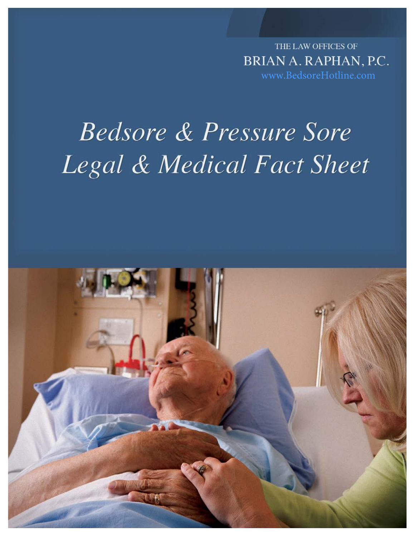THE LAW OFFICES OF BRIAN A. RAPHAN, P.C. [www.BedsoreHotline.com](www.bedsorehotline.com)

# **Bedsore & Pressure Sore** Legal & Medical Fact Sheet

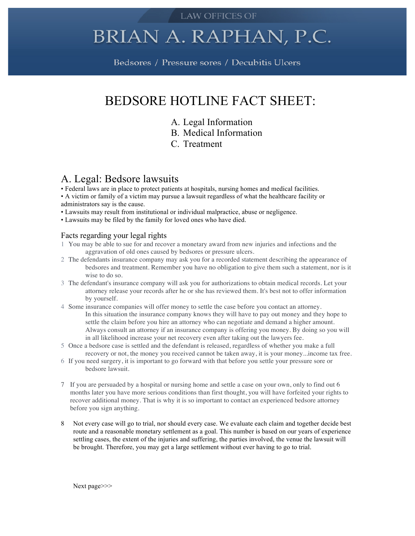#### **LAW OFFICES OF**

## BRIAN A. RAPHAN, P.C.

Bedsores / Pressure sores / Decubitis Ulcers

## BEDSORE HOTLINE FACT SHEET:

- A. Legal Information
- B. Medical Information
- C. Treatment

## A. Legal: Bedsore lawsuits

- Federal laws are in place to protect patients at hospitals, nursing homes and medical facilities.
- A victim or family of a victim may pursue a lawsuit regardless of what the healthcare facility or administrators say is the cause.
- Lawsuits may result from institutional or individual malpractice, abuse or negligence.
- Lawsuits may be filed by the family for loved ones who have died.

#### Facts regarding your legal rights

- 1 You may be able to sue for and recover a monetary award from new injuries and infections and the aggravation of old ones caused by bedsores or pressure ulcers.
- 2 The defendants insurance company may ask you for a recorded statement describing the appearance of bedsores and treatment. Remember you have no obligation to give them such a statement, nor is it wise to do so.
- 3 The defendant's insurance company will ask you for authorizations to obtain medical records. Let your attorney release your records after he or she has reviewed them. It's best not to offer information by yourself.
- 4 Some insurance companies will offer money to settle the case before you contact an attorney. In this situation the insurance company knows they will have to pay out money and they hope to settle the claim before you hire an attorney who can negotiate and demand a higher amount. Always consult an attorney if an insurance company is offering you money. By doing so you will in all likelihood increase your net recovery even after taking out the lawyers fee.
- 5 Once a bedsore case is settled and the defendant is released, regardless of whether you make a full recovery or not, the money you received cannot be taken away, it is your money...income tax free.
- 6 If you need surgery, it is important to go forward with that before you settle your pressure sore or bedsore lawsuit.
- 7 If you are persuaded by a hospital or nursing home and settle a case on your own, only to find out 6 months later you have more serious conditions than first thought, you will have forfeited your rights to recover additional money. That is why it is so important to contact an experienced bedsore attorney before you sign anything.
- 8 Not every case will go to trial, nor should every case. We evaluate each claim and together decide best route and a reasonable monetary settlement as a goal. This number is based on our years of experience settling cases, the extent of the injuries and suffering, the parties involved, the venue the lawsuit will be brought. Therefore, you may get a large settlement without ever having to go to trial.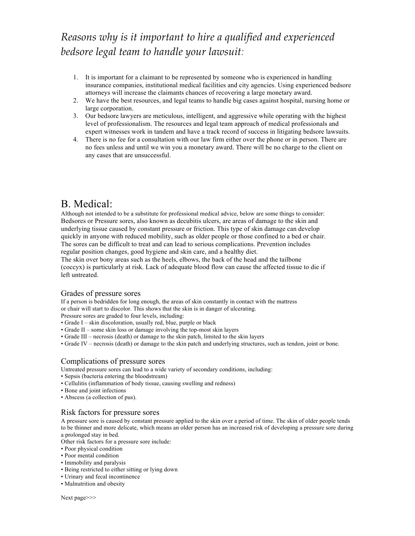## *Reasons'why'is'it'important'to'hire'a'qualified'and'experienced' bedsore'legal'team'to'handle'your'lawsuit:'*

- 1. It is important for a claimant to be represented by someone who is experienced in handling insurance companies, institutional medical facilities and city agencies. Using experienced bedsore attorneys will increase the claimants chances of recovering a large monetary award.
- 2. We have the best resources, and legal teams to handle big cases against hospital, nursing home or large corporation.
- 3. Our bedsore lawyers are meticulous, intelligent, and aggressive while operating with the highest level of professionalism. The resources and legal team approach of medical professionals and expert witnesses work in tandem and have a track record of success in litigating bedsore lawsuits.
- 4. There is no fee for a consultation with our law firm either over the phone or in person. There are no fees unless and until we win you a monetary award. There will be no charge to the client on any cases that are unsuccessful.

## B. Medical:

Although not intended to be a substitute for professional medical advice, below are some things to consider: Bedsores or Pressure sores, also known as decubitis ulcers, are areas of damage to the skin and underlying tissue caused by constant pressure or friction. This type of skin damage can develop quickly in anyone with reduced mobility, such as older people or those confined to a bed or chair. The sores can be difficult to treat and can lead to serious complications. Prevention includes regular position changes, good hygiene and skin care, and a healthy diet.

The skin over bony areas such as the heels, elbows, the back of the head and the tailbone (coccyx) is particularly at risk. Lack of adequate blood flow can cause the affected tissue to die if left untreated.

#### Grades of pressure sores

If a person is bedridden for long enough, the areas of skin constantly in contact with the mattress or chair will start to discolor. This shows that the skin is in danger of ulcerating.

Pressure sores are graded to four levels, including:

- Grade I skin discoloration, usually red, blue, purple or black
- Grade II some skin loss or damage involving the top-most skin layers
- Grade III necrosis (death) or damage to the skin patch, limited to the skin layers
- Grade IV necrosis (death) or damage to the skin patch and underlying structures, such as tendon, joint or bone.

#### Complications of pressure sores

Untreated pressure sores can lead to a wide variety of secondary conditions, including:

- Sepsis (bacteria entering the bloodstream)
- Cellulitis (inflammation of body tissue, causing swelling and redness)
- Bone and joint infections
- Abscess (a collection of pus).

#### Risk factors for pressure sores

A pressure sore is caused by constant pressure applied to the skin over a period of time. The skin of older people tends to be thinner and more delicate, which means an older person has an increased risk of developing a pressure sore during a prolonged stay in bed.

Other risk factors for a pressure sore include:

- Poor physical condition
- Poor mental condition
- Immobility and paralysis
- Being restricted to either sitting or lying down
- Urinary and fecal incontinence
- Malnutrition and obesity

Next page>>>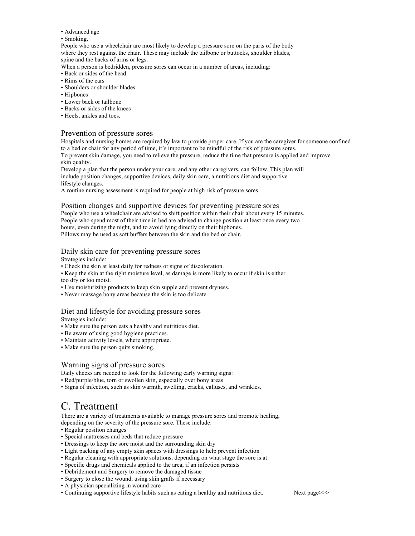• Advanced age

#### • Smoking.

People who use a wheelchair are most likely to develop a pressure sore on the parts of the body where they rest against the chair. These may include the tailbone or buttocks, shoulder blades, spine and the backs of arms or legs.

When a person is bedridden, pressure sores can occur in a number of areas, including:

- Back or sides of the head
- Rims of the ears
- Shoulders or shoulder blades
- Hipbones
- Lower back or tailbone
- Backs or sides of the knees
- Heels, ankles and toes.

#### Prevention of pressure sores

Hospitals and nursing homes are required by law to provide proper care..If you are the caregiver for someone confined to a bed or chair for any period of time, it's important to be mindful of the risk of pressure sores. To prevent skin damage, you need to relieve the pressure, reduce the time that pressure is applied and improve

skin quality. Develop a plan that the person under your care, and any other caregivers, can follow. This plan will

include position changes, supportive devices, daily skin care, a nutritious diet and supportive lifestyle changes.

A routine nursing assessment is required for people at high risk of pressure sores.

#### Position changes and supportive devices for preventing pressure sores

People who use a wheelchair are advised to shift position within their chair about every 15 minutes. People who spend most of their time in bed are advised to change position at least once every two hours, even during the night, and to avoid lying directly on their hipbones. Pillows may be used as soft buffers between the skin and the bed or chair.

#### Daily skin care for preventing pressure sores

Strategies include:

• Check the skin at least daily for redness or signs of discoloration.

- Keep the skin at the right moisture level, as damage is more likely to occur if skin is either too dry or too moist.
- Use moisturizing products to keep skin supple and prevent dryness.
- Never massage bony areas because the skin is too delicate.

#### Diet and lifestyle for avoiding pressure sores

Strategies include:

- Make sure the person eats a healthy and nutritious diet.
- Be aware of using good hygiene practices.
- Maintain activity levels, where appropriate.
- Make sure the person quits smoking.

#### Warning signs of pressure sores

Daily checks are needed to look for the following early warning signs:

- Red/purple/blue, torn or swollen skin, especially over bony areas
- Signs of infection, such as skin warmth, swelling, cracks, calluses, and wrinkles.

## C. Treatment

There are a variety of treatments available to manage pressure sores and promote healing, depending on the severity of the pressure sore. These include:

- Regular position changes
- Special mattresses and beds that reduce pressure
- Dressings to keep the sore moist and the surrounding skin dry
- Light packing of any empty skin spaces with dressings to help prevent infection
- Regular cleaning with appropriate solutions, depending on what stage the sore is at
- Specific drugs and chemicals applied to the area, if an infection persists
- Debridement and Surgery to remove the damaged tissue
- Surgery to close the wound, using skin grafts if necessary
- A physician specializing in wound care
- Continuing supportive lifestyle habits such as eating a healthy and nutritious diet. Next page>>>